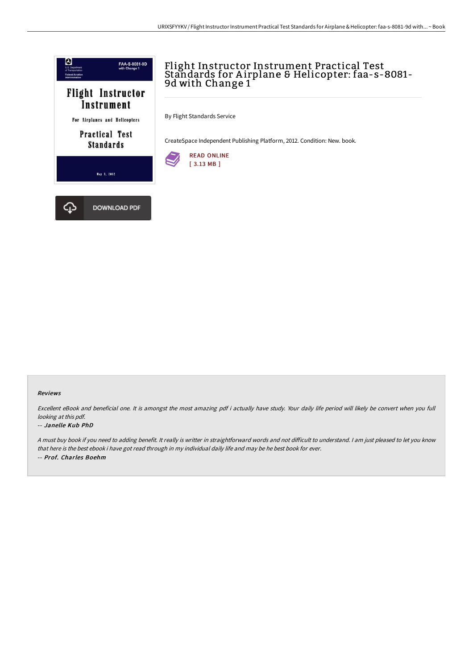

# Flight Instructor Instrument Practical Test Standards for A irplane & Helicopter: faa-s-8081- 9d with Change 1

By Flight Standards Service

CreateSpace Independent Publishing Platform, 2012. Condition: New. book.



#### Reviews

Excellent eBook and beneficial one. It is amongst the most amazing pdf i actually have study. Your daily life period will likely be convert when you full looking at this pdf.

#### -- Janelle Kub PhD

A must buy book if you need to adding benefit. It really is writter in straightforward words and not difficult to understand. I am just pleased to let you know that here is the best ebook i have got read through in my individual daily life and may be he best book for ever. -- Prof. Charles Boehm